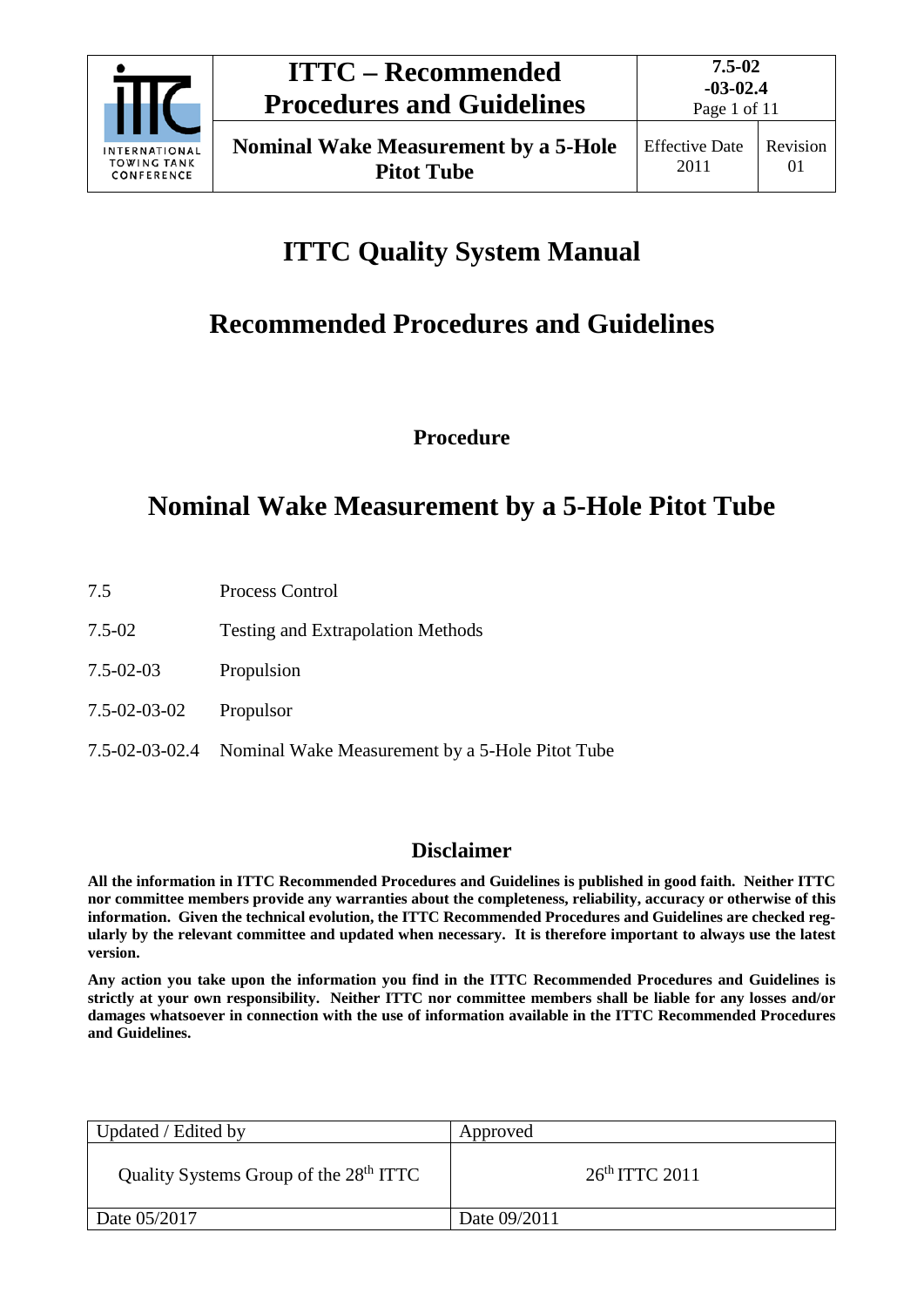

# **ITTC Quality System Manual**

# **Recommended Procedures and Guidelines**

**Procedure**

### **Nominal Wake Measurement by a 5-Hole Pitot Tube**

- 7.5 Process Control
- 7.5-02 Testing and Extrapolation Methods
- 7.5-02-03 Propulsion
- 7.5-02-03-02 Propulsor
- 7.5-02-03-02.4 Nominal Wake Measurement by a 5-Hole Pitot Tube

### **Disclaimer**

**All the information in ITTC Recommended Procedures and Guidelines is published in good faith. Neither ITTC nor committee members provide any warranties about the completeness, reliability, accuracy or otherwise of this information. Given the technical evolution, the ITTC Recommended Procedures and Guidelines are checked regularly by the relevant committee and updated when necessary. It is therefore important to always use the latest version.**

**Any action you take upon the information you find in the ITTC Recommended Procedures and Guidelines is strictly at your own responsibility. Neither ITTC nor committee members shall be liable for any losses and/or damages whatsoever in connection with the use of information available in the ITTC Recommended Procedures and Guidelines.**

| Updated / Edited by                                | Approved         |
|----------------------------------------------------|------------------|
| Quality Systems Group of the 28 <sup>th</sup> ITTC | $26th$ ITTC 2011 |
| Date 05/2017                                       | Date 09/2011     |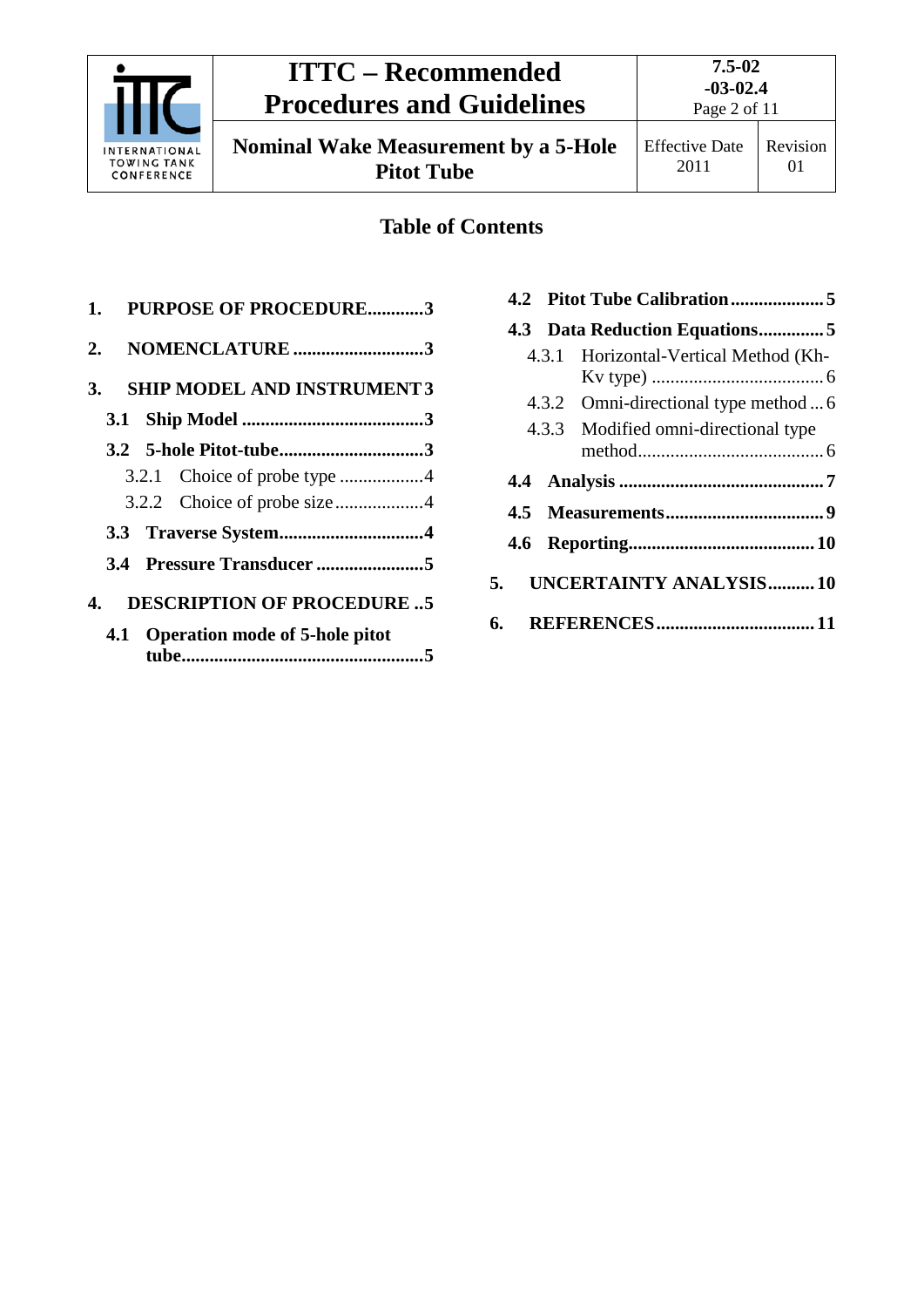

## **ITTC – Recommended Procedures and Guidelines**

**Nominal Wake Measurement by a 5-Hole Pitot Tube**

01

### **Table of Contents**

| 1. PURPOSE OF PROCEDURE3                 |
|------------------------------------------|
| NOMENCLATURE 3<br>2.                     |
| <b>SHIP MODEL AND INSTRUMENT 3</b><br>3. |
|                                          |
|                                          |
|                                          |
|                                          |
|                                          |
|                                          |
| <b>DESCRIPTION OF PROCEDURE5</b><br>4.   |
| 4.1 Operation mode of 5-hole pitot       |

|  | 4.3 Data Reduction Equations5         |  |
|--|---------------------------------------|--|
|  | 4.3.1 Horizontal-Vertical Method (Kh- |  |
|  | 4.3.2 Omni-directional type method  6 |  |
|  | 4.3.3 Modified omni-directional type  |  |
|  |                                       |  |
|  |                                       |  |
|  |                                       |  |
|  | 5. UNCERTAINTY ANALYSIS10             |  |
|  |                                       |  |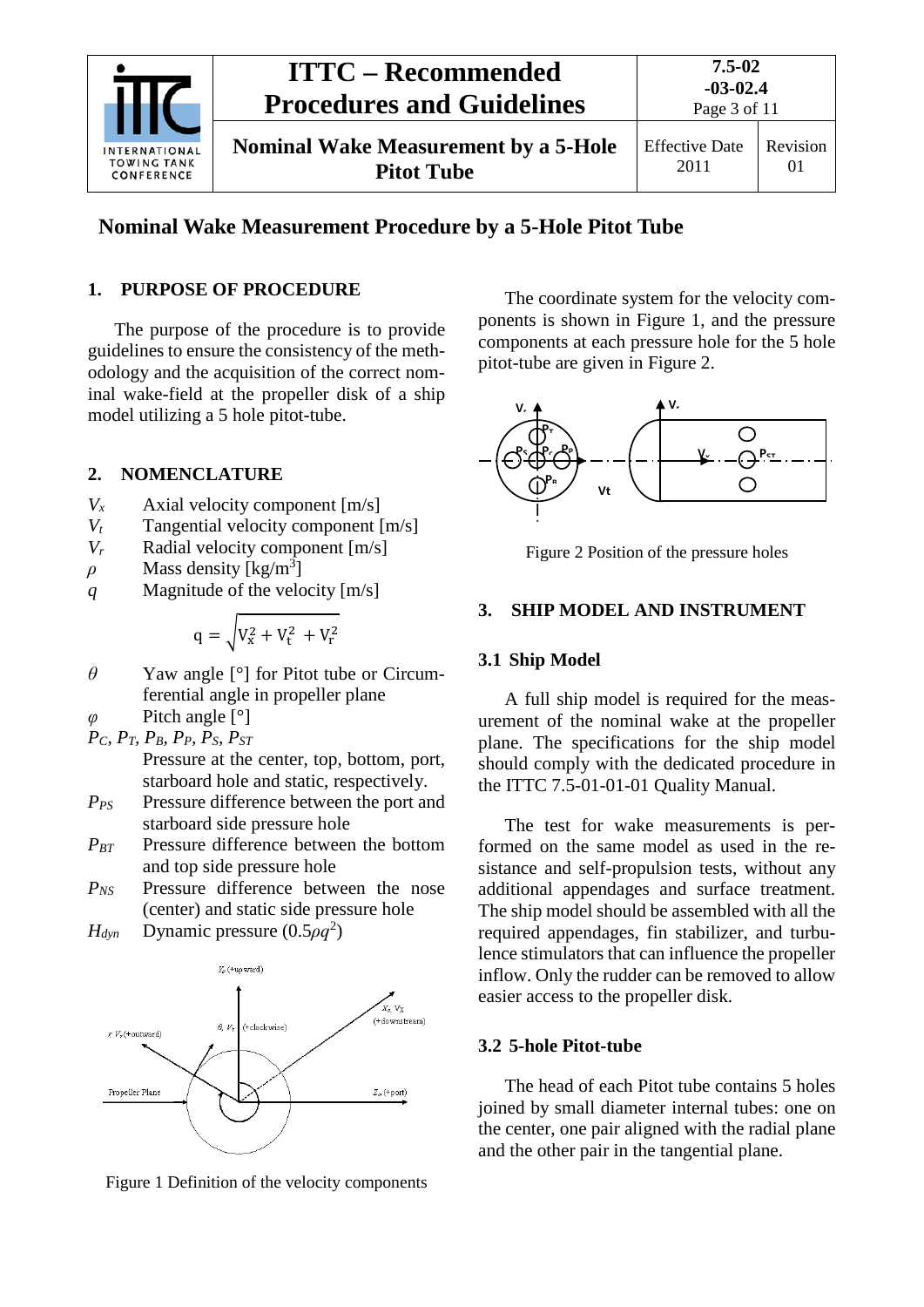

### **Nominal Wake Measurement Procedure by a 5-Hole Pitot Tube**

#### <span id="page-2-0"></span>**1. PURPOSE OF PROCEDURE**

The purpose of the procedure is to provide guidelines to ensure the consistency of the methodology and the acquisition of the correct nominal wake-field at the propeller disk of a ship model utilizing a 5 hole pitot-tube.

#### <span id="page-2-1"></span>**2. NOMENCLATURE**

- *Vx* Axial velocity component [m/s]
- *Vt* Tangential velocity component [m/s]
- *V<sub>r</sub>* Radial velocity component [m/s]
- $\rho$  Mass density [kg/m<sup>3</sup>]
- *q* Magnitude of the velocity [m/s]

$$
q = \sqrt{V_x^2 + V_t^2 + V_r^2}
$$

- *θ* Yaw angle [°] for Pitot tube or Circumferential angle in propeller plane
- *φ* Pitch angle [°]

$$
P_C, P_T, P_B, P_P, P_S, P_{ST}
$$

- Pressure at the center, top, bottom, port, starboard hole and static, respectively.
- *PPS* Pressure difference between the port and starboard side pressure hole
- *P<sub>BT</sub>* Pressure difference between the bottom and top side pressure hole
- *PNS* Pressure difference between the nose (center) and static side pressure hole
- *H*<sub>dyn</sub> Dynamic pressure (0.5*ρq*<sup>2</sup>)



Figure 1 Definition of the velocity components

The coordinate system for the velocity components is shown in Figure 1, and the pressure components at each pressure hole for the 5 hole pitot-tube are given in Figure 2.



Figure 2 Position of the pressure holes

#### <span id="page-2-3"></span><span id="page-2-2"></span>**3. SHIP MODEL AND INSTRUMENT**

#### **3.1 Ship Model**

A full ship model is required for the measurement of the nominal wake at the propeller plane. The specifications for the ship model should comply with the dedicated procedure in the ITTC 7.5-01-01-01 Quality Manual.

The test for wake measurements is performed on the same model as used in the resistance and self-propulsion tests, without any additional appendages and surface treatment. The ship model should be assembled with all the required appendages, fin stabilizer, and turbulence stimulators that can influence the propeller inflow. Only the rudder can be removed to allow easier access to the propeller disk.

#### <span id="page-2-4"></span>**3.2 5-hole Pitot-tube**

The head of each Pitot tube contains 5 holes joined by small diameter internal tubes: one on the center, one pair aligned with the radial plane and the other pair in the tangential plane.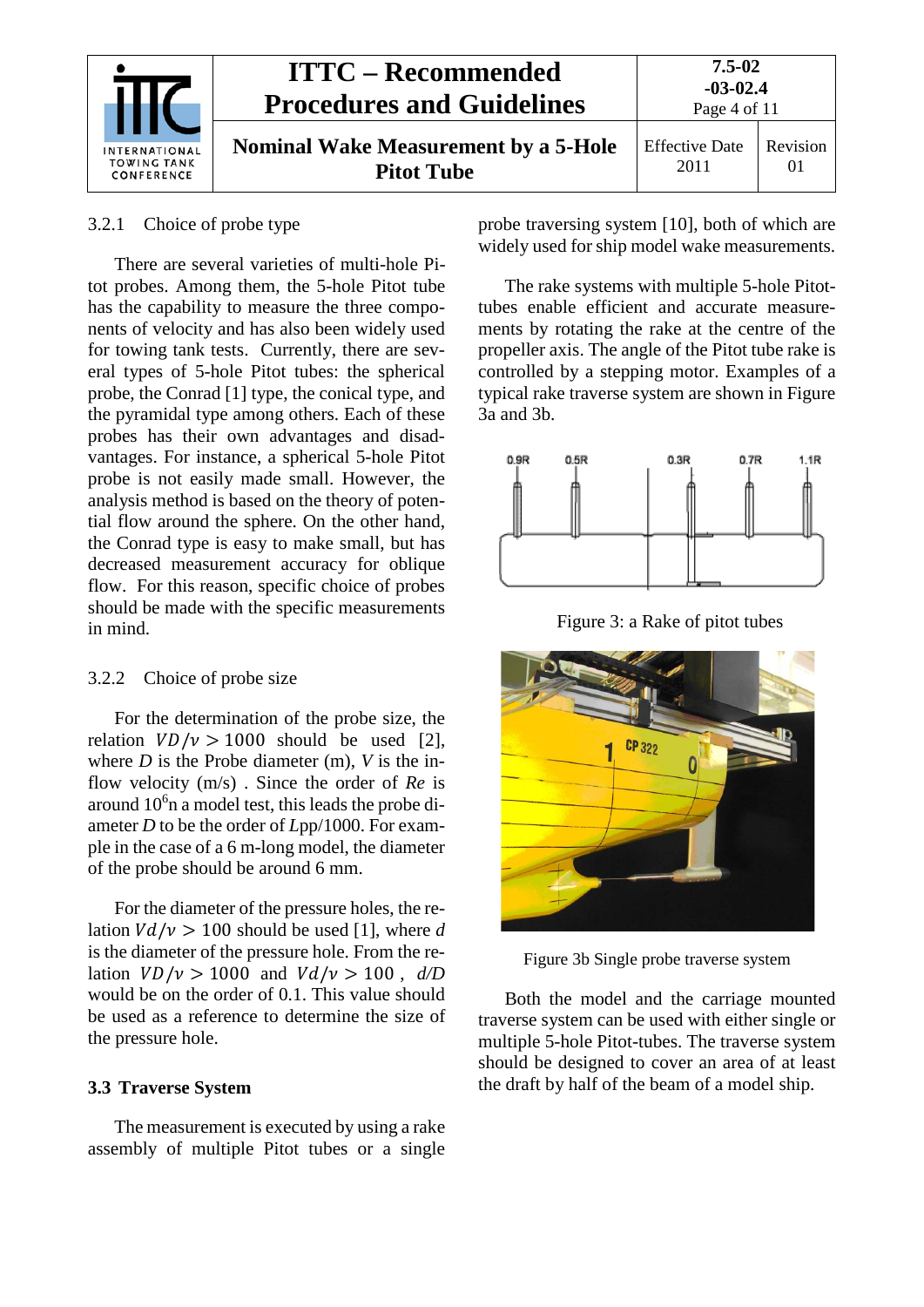

#### <span id="page-3-0"></span>3.2.1 Choice of probe type

There are several varieties of multi-hole Pitot probes. Among them, the 5-hole Pitot tube has the capability to measure the three components of velocity and has also been widely used for towing tank tests. Currently, there are several types of 5-hole Pitot tubes: the spherical probe, the Conrad [1] type, the conical type, and the pyramidal type among others. Each of these probes has their own advantages and disadvantages. For instance, a spherical 5-hole Pitot probe is not easily made small. However, the analysis method is based on the theory of potential flow around the sphere. On the other hand, the Conrad type is easy to make small, but has decreased measurement accuracy for oblique flow. For this reason, specific choice of probes should be made with the specific measurements in mind.

#### <span id="page-3-1"></span>3.2.2 Choice of probe size

For the determination of the probe size, the relation  $VD/v > 1000$  should be used [2], where *D* is the Probe diameter (m), *V* is the inflow velocity (m/s) . Since the order of *Re* is around  $10<sup>6</sup>$ n a model test, this leads the probe diameter *D* to be the order of *L*pp/1000. For example in the case of a 6 m-long model, the diameter of the probe should be around 6 mm.

For the diameter of the pressure holes, the relation  $V d / v > 100$  should be used [1], where *d* is the diameter of the pressure hole. From the relation  $VD/v > 1000$  and  $Vd/v > 100$ ,  $d/D$ would be on the order of 0.1. This value should be used as a reference to determine the size of the pressure hole.

#### <span id="page-3-2"></span>**3.3 Traverse System**

The measurement is executed by using a rake assembly of multiple Pitot tubes or a single probe traversing system [10], both of which are widely used for ship model wake measurements.

The rake systems with multiple 5-hole Pitottubes enable efficient and accurate measurements by rotating the rake at the centre of the propeller axis. The angle of the Pitot tube rake is controlled by a stepping motor. Examples of a typical rake traverse system are shown in Figure 3a and 3b.



Figure 3: a Rake of pitot tubes



Figure 3b Single probe traverse system

Both the model and the carriage mounted traverse system can be used with either single or multiple 5-hole Pitot-tubes. The traverse system should be designed to cover an area of at least the draft by half of the beam of a model ship.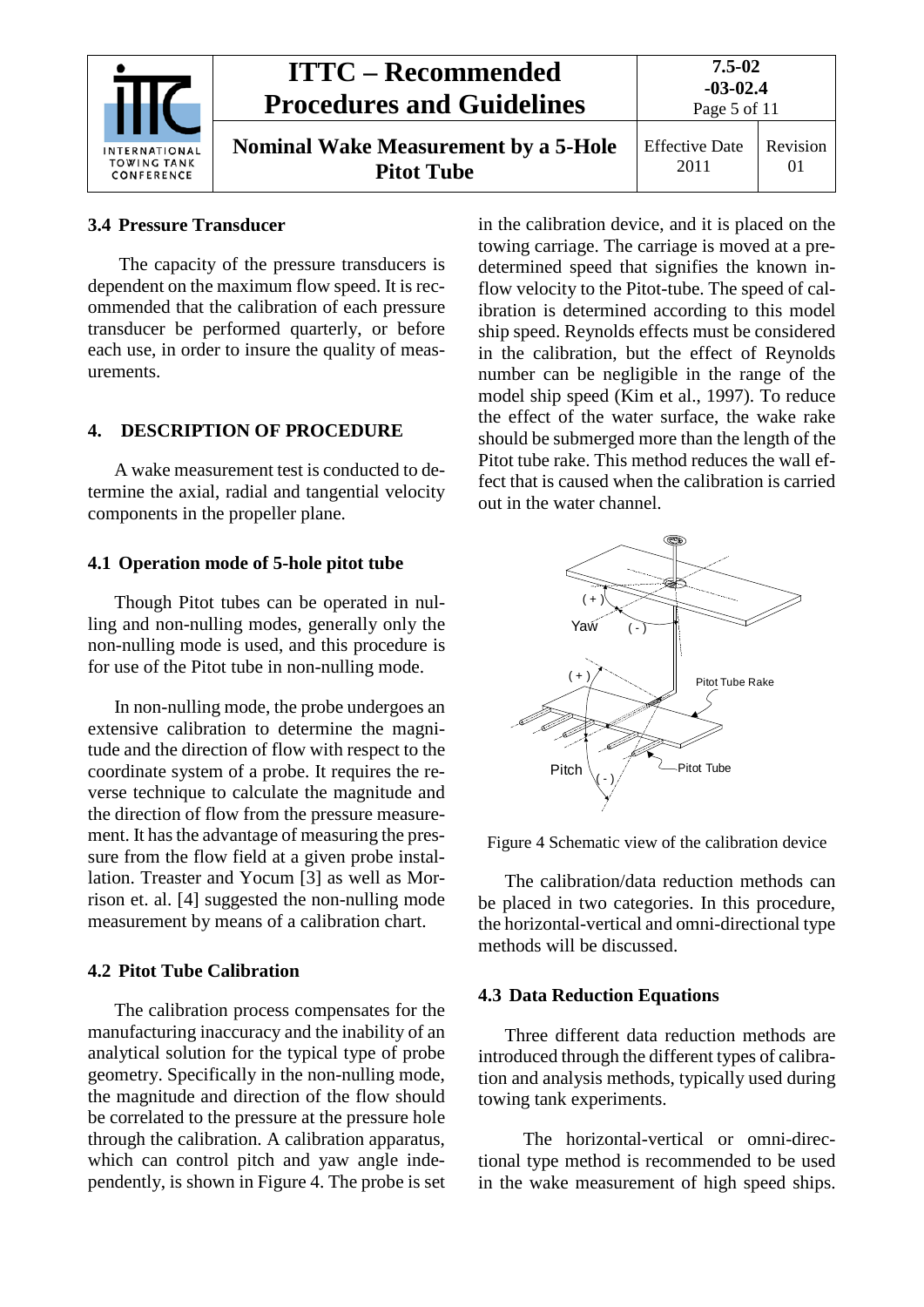| <b>INTERNATIONAL</b><br><b>TOWING TANK</b><br>CONFERENCE | <b>ITTC – Recommended</b><br><b>Procedures and Guidelines</b>    | 7.5-02<br>$-03-02.4$<br>Page 5 of 11 |                      |
|----------------------------------------------------------|------------------------------------------------------------------|--------------------------------------|----------------------|
|                                                          | <b>Nominal Wake Measurement by a 5-Hole</b><br><b>Pitot Tube</b> | <b>Effective Date</b><br>2011        | Revision<br>$\Omega$ |

#### <span id="page-4-0"></span>**3.4 Pressure Transducer**

The capacity of the pressure transducers is dependent on the maximum flow speed. It is recommended that the calibration of each pressure transducer be performed quarterly, or before each use, in order to insure the quality of measurements.

#### <span id="page-4-1"></span>**4. DESCRIPTION OF PROCEDURE**

A wake measurement test is conducted to determine the axial, radial and tangential velocity components in the propeller plane.

#### <span id="page-4-2"></span>**4.1 Operation mode of 5-hole pitot tube**

Though Pitot tubes can be operated in nulling and non-nulling modes, generally only the non-nulling mode is used, and this procedure is for use of the Pitot tube in non-nulling mode.

In non-nulling mode, the probe undergoes an extensive calibration to determine the magnitude and the direction of flow with respect to the coordinate system of a probe. It requires the reverse technique to calculate the magnitude and the direction of flow from the pressure measurement. It has the advantage of measuring the pressure from the flow field at a given probe installation. Treaster and Yocum [3] as well as Morrison et. al. [4] suggested the non-nulling mode measurement by means of a calibration chart.

#### <span id="page-4-3"></span>**4.2 Pitot Tube Calibration**

The calibration process compensates for the manufacturing inaccuracy and the inability of an analytical solution for the typical type of probe geometry. Specifically in the non-nulling mode, the magnitude and direction of the flow should be correlated to the pressure at the pressure hole through the calibration. A calibration apparatus, which can control pitch and yaw angle independently, is shown in Figure 4. The probe is set in the calibration device, and it is placed on the towing carriage. The carriage is moved at a predetermined speed that signifies the known inflow velocity to the Pitot-tube. The speed of calibration is determined according to this model ship speed. Reynolds effects must be considered in the calibration, but the effect of Reynolds number can be negligible in the range of the model ship speed (Kim et al., 1997). To reduce the effect of the water surface, the wake rake should be submerged more than the length of the Pitot tube rake. This method reduces the wall effect that is caused when the calibration is carried out in the water channel.



Figure 4 Schematic view of the calibration device

The calibration/data reduction methods can be placed in two categories. In this procedure, the horizontal-vertical and omni-directional type methods will be discussed.

#### <span id="page-4-4"></span>**4.3 Data Reduction Equations**

Three different data reduction methods are introduced through the different types of calibration and analysis methods, typically used during towing tank experiments.

The horizontal-vertical or omni-directional type method is recommended to be used in the wake measurement of high speed ships.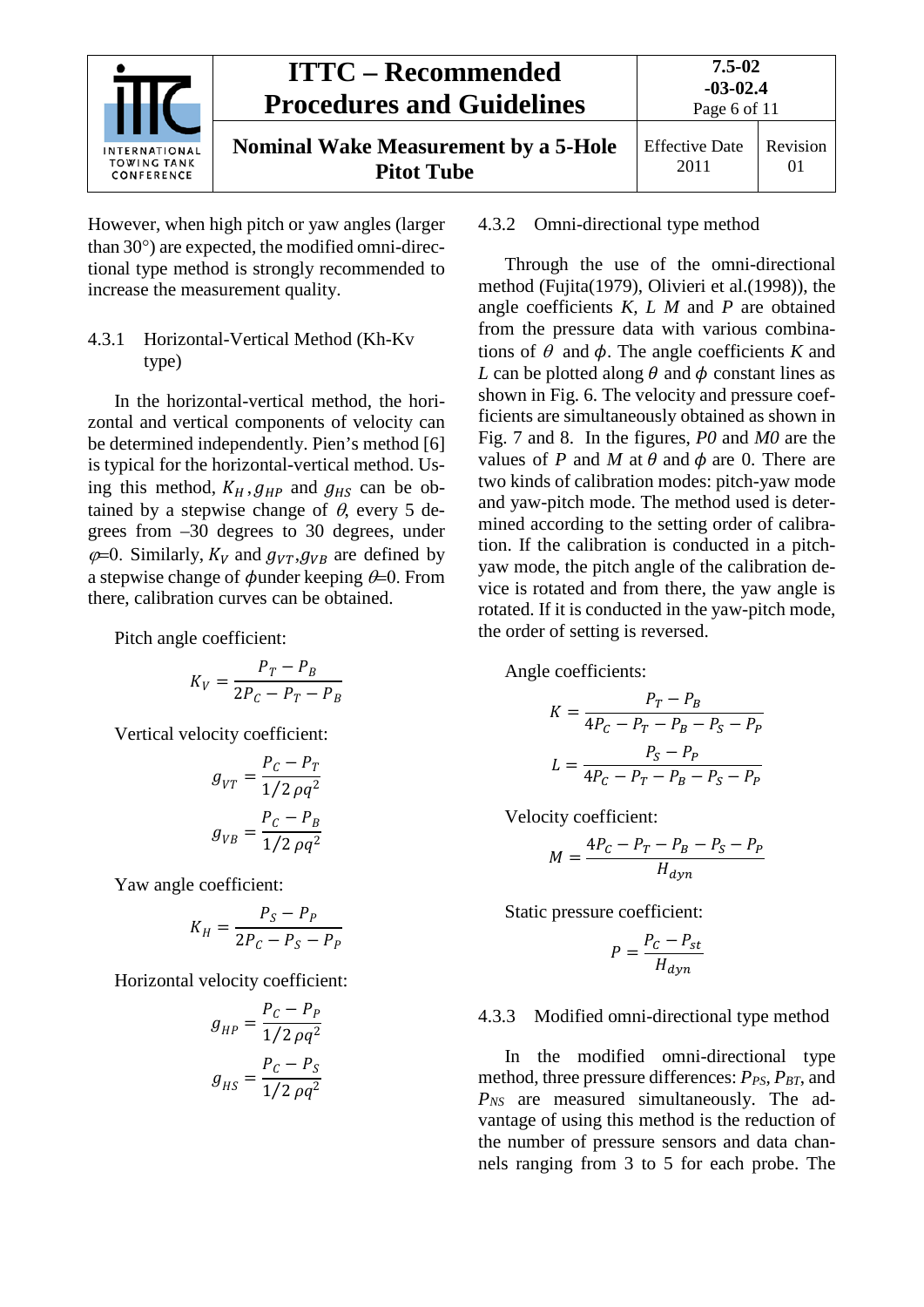

However, when high pitch or yaw angles (larger than 30°) are expected, the modified omni-directional type method is strongly recommended to increase the measurement quality.

#### <span id="page-5-0"></span>4.3.1 Horizontal-Vertical Method (Kh-Kv type)

In the horizontal-vertical method, the horizontal and vertical components of velocity can be determined independently. Pien's method [6] is typical for the horizontal-vertical method. Using this method,  $K_H$ ,  $g_{HP}$  and  $g_{HS}$  can be obtained by a stepwise change of  $\theta$ , every 5 degrees from –30 degrees to 30 degrees, under  $\varphi$ =0. Similarly,  $K_V$  and  $g_{V}g_{V}$  are defined by a stepwise change of  $\phi$ under keeping  $\theta$ =0. From there, calibration curves can be obtained.

Pitch angle coefficient:

$$
K_V = \frac{P_T - P_B}{2P_C - P_T - P_B}
$$

Vertical velocity coefficient:

$$
g_{VT} = \frac{P_C - P_T}{1/2 \rho q^2}
$$

$$
g_{VB} = \frac{P_C - P_B}{1/2 \rho q^2}
$$

Yaw angle coefficient:

$$
K_H = \frac{P_S - P_P}{2P_C - P_S - P_P}
$$

Horizontal velocity coefficient:

$$
g_{HP} = \frac{P_C - P_P}{1/2 \rho q^2}
$$

$$
g_{HS} = \frac{P_C - P_S}{1/2 \rho q^2}
$$

#### <span id="page-5-1"></span>4.3.2 Omni-directional type method

Through the use of the omni-directional method (Fujita(1979), Olivieri et al.(1998)), the angle coefficients *K, L M* and *P* are obtained from the pressure data with various combinations of  $\theta$  and  $\phi$ . The angle coefficients *K* and *L* can be plotted along  $\theta$  and  $\phi$  constant lines as shown in Fig. 6. The velocity and pressure coefficients are simultaneously obtained as shown in Fig. 7 and 8. In the figures, *P0* and *M0* are the values of *P* and *M* at  $\theta$  and  $\phi$  are 0. There are two kinds of calibration modes: pitch-yaw mode and yaw-pitch mode. The method used is determined according to the setting order of calibration. If the calibration is conducted in a pitchyaw mode, the pitch angle of the calibration device is rotated and from there, the yaw angle is rotated. If it is conducted in the yaw-pitch mode, the order of setting is reversed.

Angle coefficients:

$$
K = \frac{P_T - P_B}{4P_C - P_T - P_B - P_S - P_P}
$$

$$
L = \frac{P_S - P_P}{4P_C - P_T - P_B - P_S - P_P}
$$

Velocity coefficient:

$$
M = \frac{4P_C - P_T - P_B - P_S - P_P}{H_{dyn}}
$$

Static pressure coefficient:

$$
P = \frac{P_C - P_{st}}{H_{dyn}}
$$

#### <span id="page-5-2"></span>4.3.3 Modified omni-directional type method

In the modified omni-directional type method, three pressure differences:  $P_{PS}$ ,  $P_{BT}$ , and *PNS* are measured simultaneously. The advantage of using this method is the reduction of the number of pressure sensors and data channels ranging from 3 to 5 for each probe. The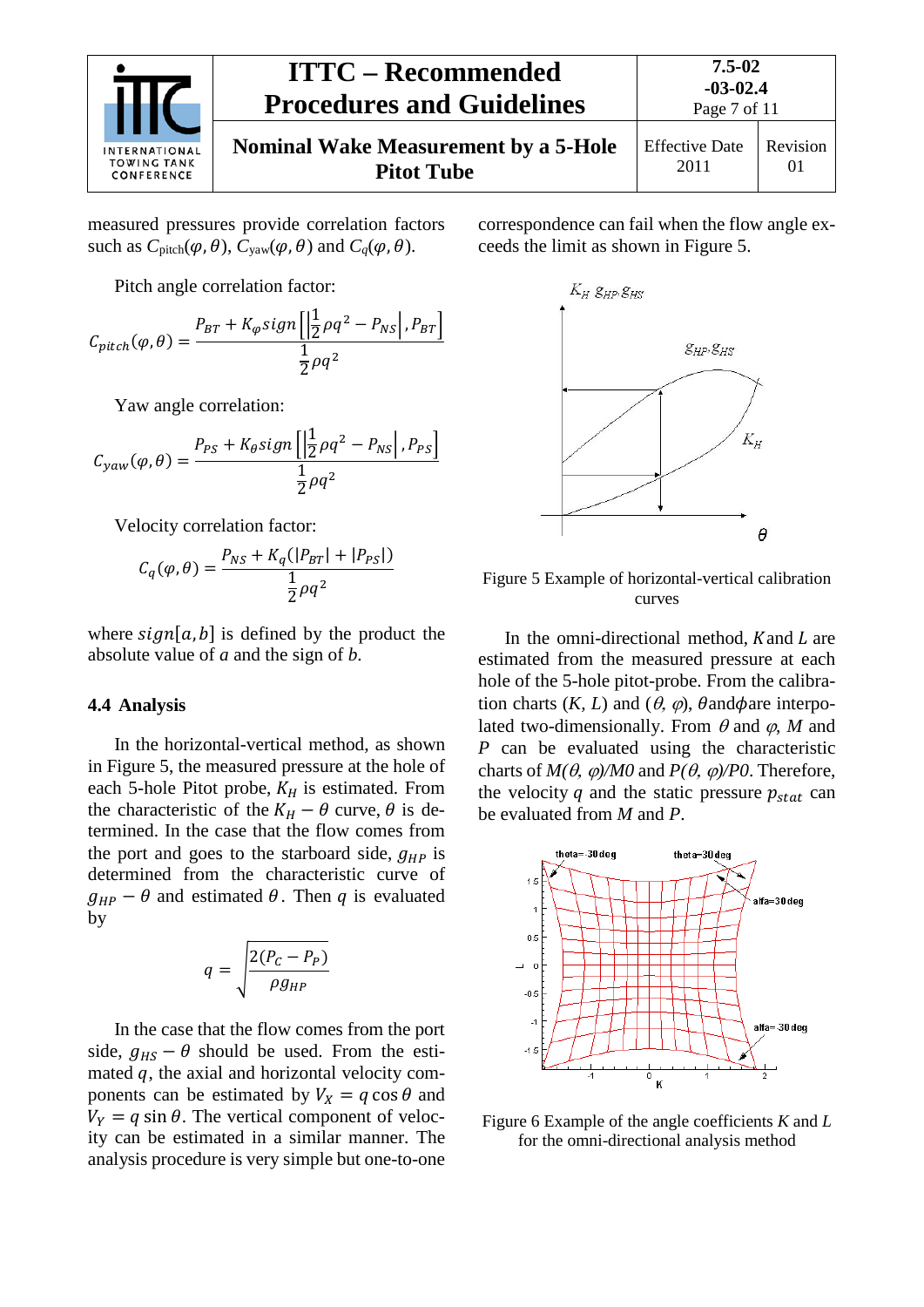

measured pressures provide correlation factors such as  $C_{\text{pitch}}(\varphi, \theta)$ ,  $C_{\text{yaw}}(\varphi, \theta)$  and  $C_q(\varphi, \theta)$ .

Pitch angle correlation factor:

$$
C_{pitch}(\varphi,\theta) = \frac{P_{BT} + K_{\varphi}sign\left[\left|\frac{1}{2}\rho q^2 - P_{NS}\right|, P_{BT}\right]}{\frac{1}{2}\rho q^2}
$$

Yaw angle correlation:

$$
C_{yaw}(\varphi,\theta) = \frac{P_{PS} + K_{\theta}sign\left[\left|\frac{1}{2}\rho q^2 - P_{NS}\right|, P_{PS}\right]}{\frac{1}{2}\rho q^2}
$$

Velocity correlation factor:

$$
C_q(\varphi, \theta) = \frac{P_{NS} + K_q(|P_{BT}| + |P_{PS}|)}{\frac{1}{2}\rho q^2}
$$

where  $sign[a, b]$  is defined by the product the absolute value of *a* and the sign of *b*.

#### <span id="page-6-0"></span>**4.4 Analysis**

In the horizontal-vertical method, as shown in Figure 5, the measured pressure at the hole of each 5-hole Pitot probe,  $K_H$  is estimated. From the characteristic of the  $K_H - \theta$  curve,  $\theta$  is determined. In the case that the flow comes from the port and goes to the starboard side,  $q_{HP}$  is determined from the characteristic curve of  $g_{HP} - \theta$  and estimated  $\theta$ . Then q is evaluated by

$$
q = \sqrt{\frac{2(P_C - P_P)}{\rho g_{HP}}}
$$

In the case that the flow comes from the port side,  $q_{HS} - \theta$  should be used. From the estimated  $q$ , the axial and horizontal velocity components can be estimated by  $V_x = q \cos \theta$  and  $V_Y = q \sin \theta$ . The vertical component of velocity can be estimated in a similar manner. The analysis procedure is very simple but one-to-one

correspondence can fail when the flow angle exceeds the limit as shown in Figure 5.



Figure 5 Example of horizontal-vertical calibration curves

In the omni-directional method,  $K$  and  $L$  are estimated from the measured pressure at each hole of the 5-hole pitot-probe. From the calibration charts  $(K, L)$  and  $(\theta, \varphi)$ ,  $\theta$  and  $\phi$  are interpolated two-dimensionally. From  $\theta$  and  $\varphi$ , *M* and *P* can be evaluated using the characteristic charts of  $M(\theta, \varphi)/M0$  and  $P(\theta, \varphi)/P0$ . Therefore, the velocity q and the static pressure  $p_{stat}$  can be evaluated from *M* and *P*.



Figure 6 Example of the angle coefficients *K* and *L* for the omni-directional analysis method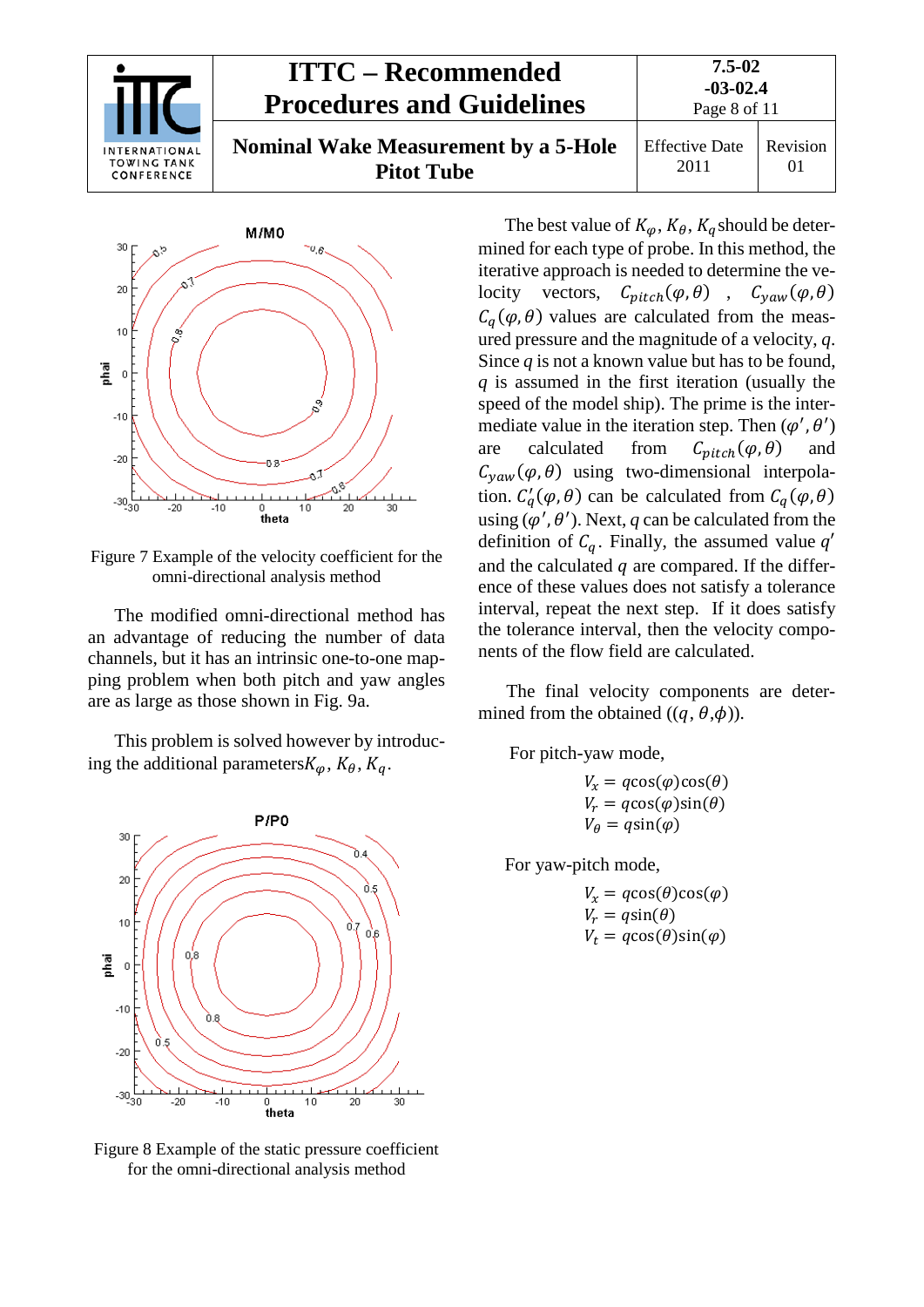



Figure 7 Example of the velocity coefficient for the omni-directional analysis method

The modified omni-directional method has an advantage of reducing the number of data channels, but it has an intrinsic one-to-one mapping problem when both pitch and yaw angles are as large as those shown in Fig. 9a.

This problem is solved however by introducing the additional parameters  $K_{\varphi}$ ,  $K_{\theta}$ ,  $K_{q}$ .



Figure 8 Example of the static pressure coefficient for the omni-directional analysis method

The best value of  $K_{\varphi}$ ,  $K_{\theta}$ ,  $K_{q}$  should be determined for each type of probe. In this method, the iterative approach is needed to determine the velocity vectors,  $C_{pitch}(\varphi, \theta)$ ,  $C_{yaw}(\varphi, \theta)$  $C_a(\varphi, \theta)$  values are calculated from the measured pressure and the magnitude of a velocity, *q*. Since *q* is not a known value but has to be found, *q* is assumed in the first iteration (usually the speed of the model ship). The prime is the intermediate value in the iteration step. Then  $(\varphi', \theta')$ are calculated from  $C_{nitch}(\varphi, \theta)$  and  $C_{\text{vaw}}(\varphi, \theta)$  using two-dimensional interpolation.  $C_q^{\prime}(\varphi, \theta)$  can be calculated from  $C_q(\varphi, \theta)$ using  $(\varphi', \theta')$ . Next, *q* can be calculated from the definition of  $C_q$ . Finally, the assumed value  $q'$ and the calculated  $q$  are compared. If the difference of these values does not satisfy a tolerance interval, repeat the next step. If it does satisfy the tolerance interval, then the velocity components of the flow field are calculated.

The final velocity components are determined from the obtained  $((q, \theta, \phi))$ .

For pitch-yaw mode,

 $V_x = q\cos(\varphi)\cos(\theta)$  $V_r = q\cos(\varphi)\sin(\theta)$  $V_{\theta} = q\sin(\varphi)$ 

For yaw-pitch mode,

$$
V_x = q\cos(\theta)\cos(\varphi)
$$
  
\n
$$
V_r = q\sin(\theta)
$$
  
\n
$$
V_t = q\cos(\theta)\sin(\varphi)
$$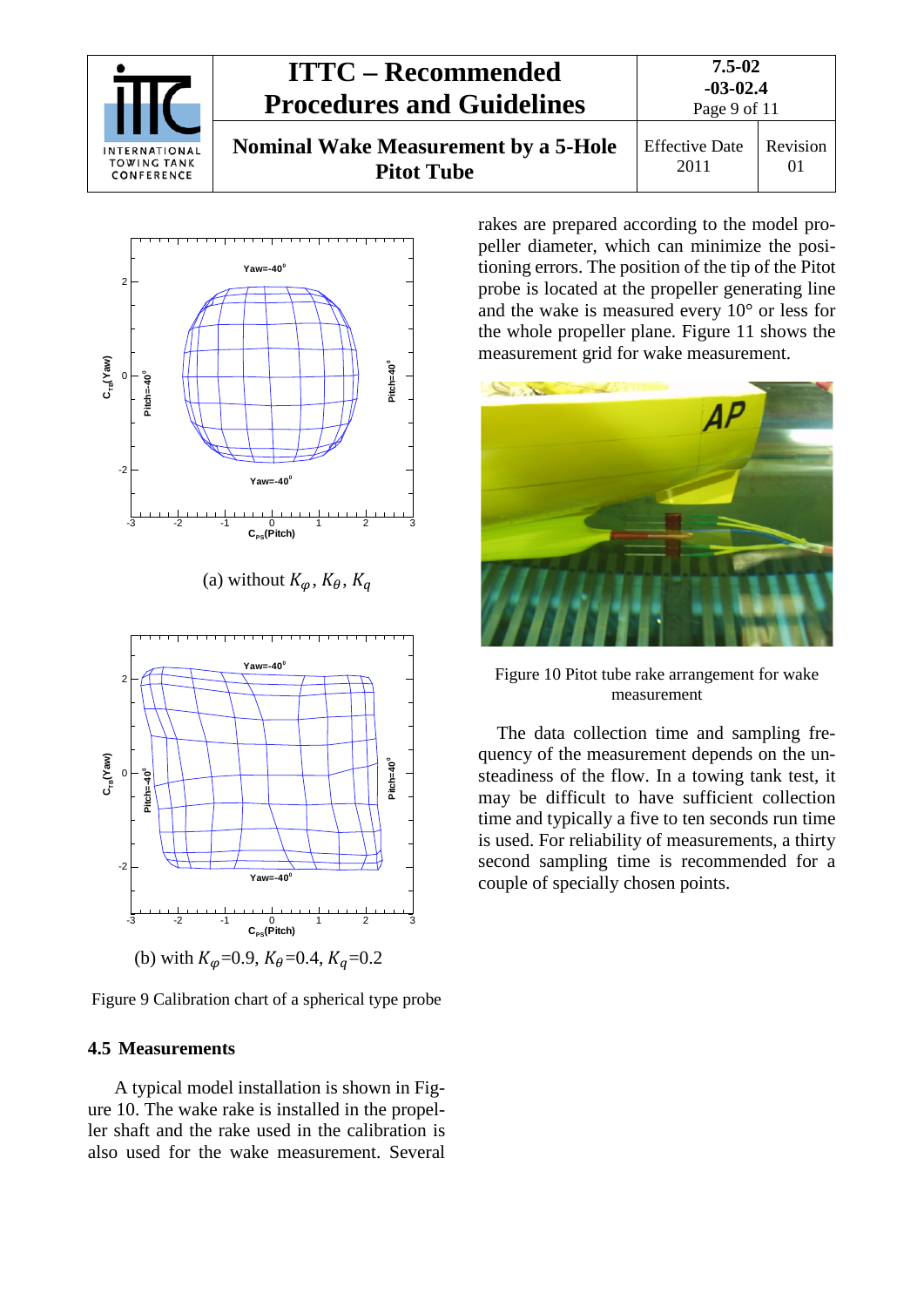



(a) without  $K_{\alpha}$ ,  $K_{\beta}$ ,  $K_{\alpha}$ 



Figure 9 Calibration chart of a spherical type probe

#### <span id="page-8-0"></span>**4.5 Measurements**

A typical model installation is shown in Figure 10. The wake rake is installed in the propeller shaft and the rake used in the calibration is also used for the wake measurement. Several rakes are prepared according to the model propeller diameter, which can minimize the positioning errors. The position of the tip of the Pitot probe is located at the propeller generating line and the wake is measured every 10° or less for the whole propeller plane. Figure 11 shows the measurement grid for wake measurement.



Figure 10 Pitot tube rake arrangement for wake measurement

The data collection time and sampling frequency of the measurement depends on the unsteadiness of the flow. In a towing tank test, it may be difficult to have sufficient collection time and typically a five to ten seconds run time is used. For reliability of measurements, a thirty second sampling time is recommended for a couple of specially chosen points.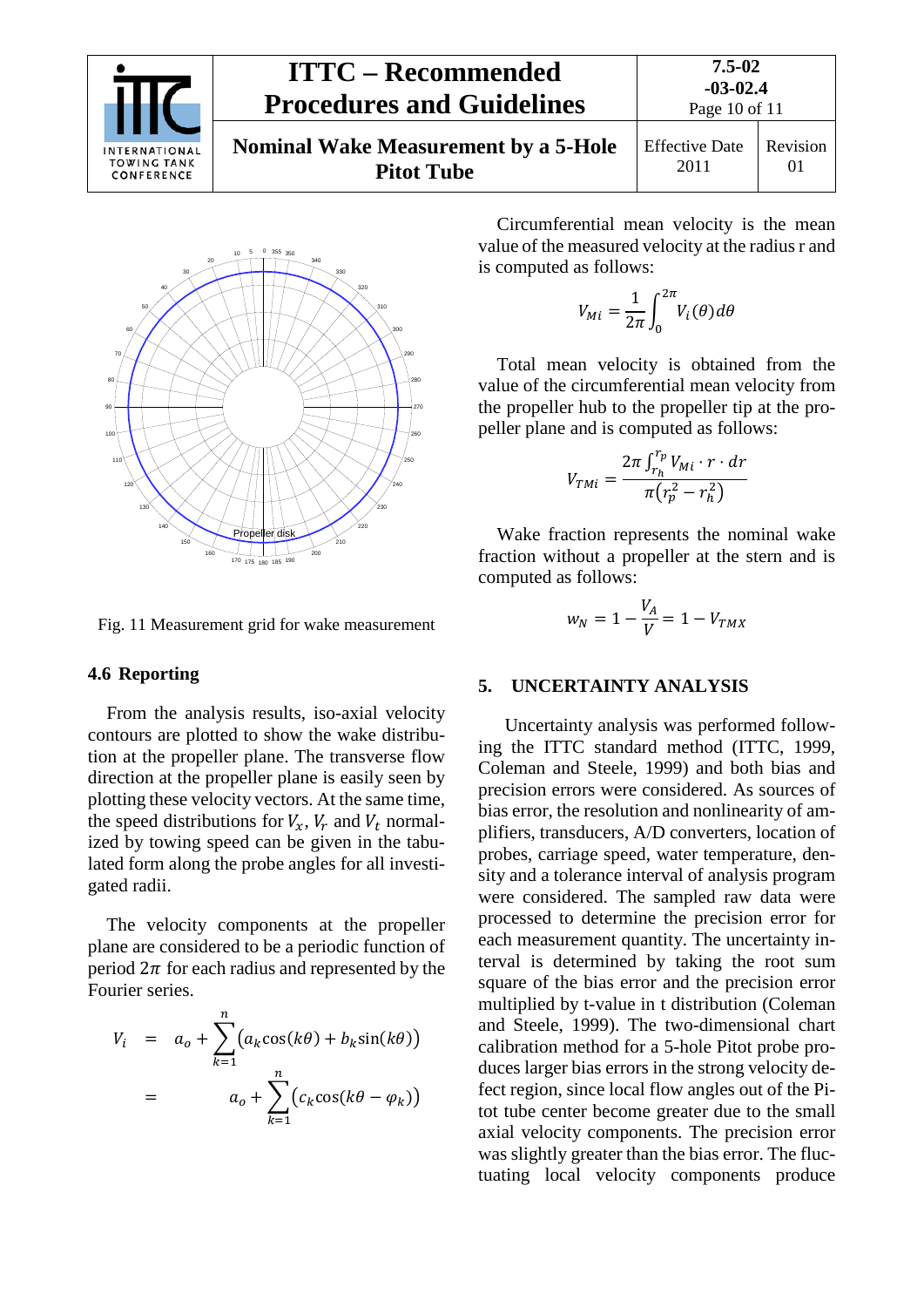| INTERNATIONAL<br><b>TOWING TANK</b><br>CONFERENCE | <b>ITTC – Recommended</b><br><b>Procedures and Guidelines</b>    | $7.5 - 02$<br>$-03-02.4$<br>Page 10 of 11 |          |
|---------------------------------------------------|------------------------------------------------------------------|-------------------------------------------|----------|
|                                                   | <b>Nominal Wake Measurement by a 5-Hole</b><br><b>Pitot Tube</b> | <b>Effective Date</b><br>2011             | Revision |



Fig. 11 Measurement grid for wake measurement

#### <span id="page-9-0"></span>**4.6 Reporting**

From the analysis results, iso-axial velocity contours are plotted to show the wake distribution at the propeller plane. The transverse flow direction at the propeller plane is easily seen by plotting these velocity vectors. At the same time, the speed distributions for  $V_x$ ,  $V_r$  and  $V_t$  normalized by towing speed can be given in the tabulated form along the probe angles for all investigated radii.

The velocity components at the propeller plane are considered to be a periodic function of period  $2\pi$  for each radius and represented by the Fourier series.

$$
V_i = a_o + \sum_{k=1}^{n} (a_k \cos(k\theta) + b_k \sin(k\theta))
$$
  
= 
$$
a_o + \sum_{k=1}^{n} (c_k \cos(k\theta - \varphi_k))
$$

Circumferential mean velocity is the mean value of the measured velocity at the radius r and is computed as follows:

$$
V_{Mi} = \frac{1}{2\pi} \int_0^{2\pi} V_i(\theta) d\theta
$$

Total mean velocity is obtained from the value of the circumferential mean velocity from the propeller hub to the propeller tip at the propeller plane and is computed as follows:

$$
V_{TMi} = \frac{2\pi \int_{r_h}^{r_p} V_{Mi} \cdot r \cdot dr}{\pi (r_p^2 - r_h^2)}
$$

Wake fraction represents the nominal wake fraction without a propeller at the stern and is computed as follows:

$$
w_N = 1 - \frac{V_A}{V} = 1 - V_{TMX}
$$

#### <span id="page-9-1"></span>**5. UNCERTAINTY ANALYSIS**

Uncertainty analysis was performed following the ITTC standard method (ITTC, 1999, Coleman and Steele, 1999) and both bias and precision errors were considered. As sources of bias error, the resolution and nonlinearity of amplifiers, transducers, A/D converters, location of probes, carriage speed, water temperature, density and a tolerance interval of analysis program were considered. The sampled raw data were processed to determine the precision error for each measurement quantity. The uncertainty interval is determined by taking the root sum square of the bias error and the precision error multiplied by t-value in t distribution (Coleman and Steele, 1999). The two-dimensional chart calibration method for a 5-hole Pitot probe produces larger bias errors in the strong velocity defect region, since local flow angles out of the Pitot tube center become greater due to the small axial velocity components. The precision error was slightly greater than the bias error. The fluctuating local velocity components produce